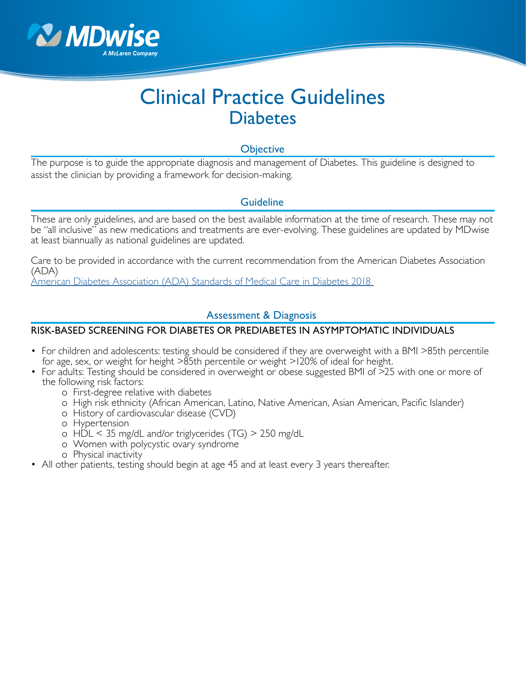

# Clinical Practice Guidelines **Diabetes**

## **Objective**

The purpose is to guide the appropriate diagnosis and management of Diabetes. This guideline is designed to assist the clinician by providing a framework for decision-making.

# Guideline

These are only guidelines, and are based on the best available information at the time of research. These may not be "all inclusive" as new medications and treatments are ever-evolving. These guidelines are updated by MDwise at least biannually as national guidelines are updated.

Care to be provided in accordance with the current recommendation from the American Diabetes Association (ADA)

[American Diabetes Association \(ADA\) Standards of Medical Care in Diabetes 2018](https://professional.diabetes.org/content-page/standards-medical-care-diabetes) 

## Assessment & Diagnosis

#### RISK-BASED SCREENING FOR DIABETES OR PREDIABETES IN ASYMPTOMATIC INDIVIDUALS

- For children and adolescents: testing should be considered if they are overweight with a BMI >85th percentile for age, sex, or weight for height >85th percentile or weight >120% of ideal for height.
- For adults: Testing should be considered in overweight or obese suggested BMI of >25 with one or more of the following risk factors:
	- o First-degree relative with diabetes
	- o High risk ethnicity (African American, Latino, Native American, Asian American, Pacific Islander)
	- o History of cardiovascular disease (CVD)
	- o Hypertension
	- o HDL < 35 mg/dL and/or triglycerides (TG) > 250 mg/dL
	- o Women with polycystic ovary syndrome
	- o Physical inactivity
- All other patients, testing should begin at age 45 and at least every 3 years thereafter.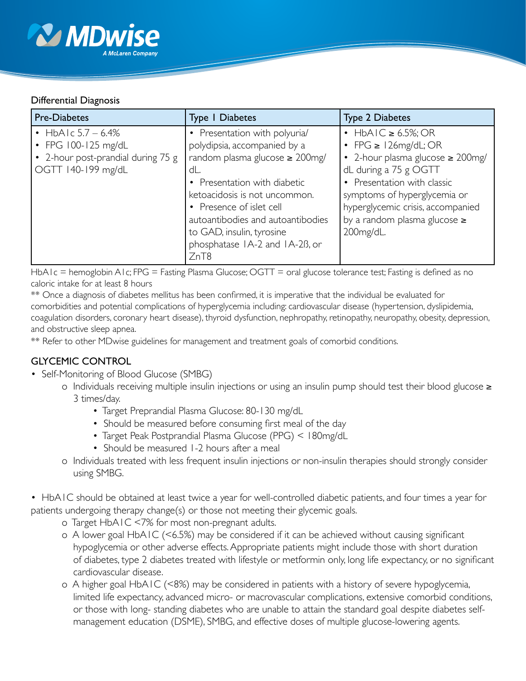

#### Differential Diagnosis

| <b>Pre-Diabetes</b>                                                                                        | <b>Type 1 Diabetes</b>                                                                                                                                                                                                                                                                                                | <b>Type 2 Diabetes</b>                                                                                                                                                                                                                                                                |
|------------------------------------------------------------------------------------------------------------|-----------------------------------------------------------------------------------------------------------------------------------------------------------------------------------------------------------------------------------------------------------------------------------------------------------------------|---------------------------------------------------------------------------------------------------------------------------------------------------------------------------------------------------------------------------------------------------------------------------------------|
| • HbAIc $5.7 - 6.4\%$<br>• FPG $100-125$ mg/dL<br>• 2-hour post-prandial during 75 g<br>OGTT 140-199 mg/dL | • Presentation with polyuria/<br>polydipsia, accompanied by a<br>random plasma glucose $\geq 200$ mg/<br>dL.<br>• Presentation with diabetic<br>ketoacidosis is not uncommon.<br>• Presence of islet cell<br>autoantibodies and autoantibodies<br>to GAD, insulin, tyrosine<br>phosphatase IA-2 and IA-2B, or<br>ZnT8 | $\cdot$ HbAIC $\geq 6.5\%$ ; OR<br>• FPG $\geq$ 126mg/dL; OR<br>• 2-hour plasma glucose $\geq 200$ mg/<br>dL during a 75 g OGTT<br>• Presentation with classic<br>symptoms of hyperglycemia or<br>hyperglycemic crisis, accompanied<br>by a random plasma glucose $\geq$<br>200mg/dL. |

HbA1c = hemoglobin A1c; FPG = Fasting Plasma Glucose; OGTT = oral glucose tolerance test; Fasting is defined as no caloric intake for at least 8 hours

\*\* Once a diagnosis of diabetes mellitus has been confirmed, it is imperative that the individual be evaluated for comorbidities and potential complications of hyperglycemia including: cardiovascular disease (hypertension, dyslipidemia, coagulation disorders, coronary heart disease), thyroid dysfunction, nephropathy, retinopathy, neuropathy, obesity, depression, and obstructive sleep apnea.

\*\* Refer to other MDwise guidelines for management and treatment goals of comorbid conditions.

# GLYCEMIC CONTROL

- Self-Monitoring of Blood Glucose (SMBG)
	- o Individuals receiving multiple insulin injections or using an insulin pump should test their blood glucose ≥ 3 times/day.
		- Target Preprandial Plasma Glucose: 80-130 mg/dL
		- Should be measured before consuming first meal of the day
		- Target Peak Postprandial Plasma Glucose (PPG) < 180mg/dL
		- Should be measured 1-2 hours after a meal
	- o Individuals treated with less frequent insulin injections or non-insulin therapies should strongly consider using SMBG.
- HbA1C should be obtained at least twice a year for well-controlled diabetic patients, and four times a year for patients undergoing therapy change(s) or those not meeting their glycemic goals.
	- o Target HbA1C <7% for most non-pregnant adults.
	- o A lower goal HbA1C (<6.5%) may be considered if it can be achieved without causing significant hypoglycemia or other adverse effects. Appropriate patients might include those with short duration of diabetes, type 2 diabetes treated with lifestyle or metformin only, long life expectancy, or no significant cardiovascular disease.
	- o A higher goal HbA1C (<8%) may be considered in patients with a history of severe hypoglycemia, limited life expectancy, advanced micro- or macrovascular complications, extensive comorbid conditions, or those with long- standing diabetes who are unable to attain the standard goal despite diabetes self management education (DSME), SMBG, and effective doses of multiple glucose-lowering agents.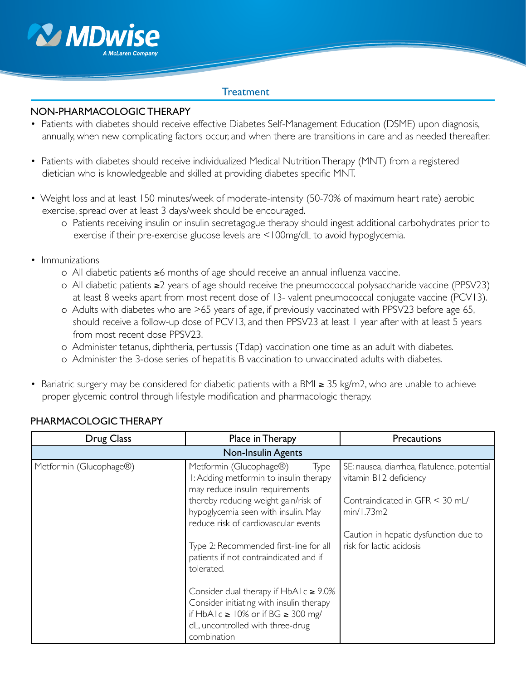

#### **Treatment**

#### NON-PHARMACOLOGIC THERAPY

- Patients with diabetes should receive effective Diabetes Self-Management Education (DSME) upon diagnosis, annually, when new complicating factors occur, and when there are transitions in care and as needed thereafter.
- Patients with diabetes should receive individualized Medical Nutrition Therapy (MNT) from a registered dietician who is knowledgeable and skilled at providing diabetes specific MNT.
- Weight loss and at least 150 minutes/week of moderate-intensity (50-70% of maximum heart rate) aerobic exercise, spread over at least 3 days/week should be encouraged.
	- o Patients receiving insulin or insulin secretagogue therapy should ingest additional carbohydrates prior to exercise if their pre-exercise glucose levels are <100mg/dL to avoid hypoglycemia.
- Immunizations
	- o All diabetic patients ≥6 months of age should receive an annual influenza vaccine.
	- o All diabetic patients ≥2 years of age should receive the pneumococcal polysaccharide vaccine (PPSV23) at least 8 weeks apart from most recent dose of 13- valent pneumococcal conjugate vaccine (PCV13).
	- o Adults with diabetes who are >65 years of age, if previously vaccinated with PPSV23 before age 65, should receive a follow-up dose of PCV13, and then PPSV23 at least 1 year after with at least 5 years from most recent dose PPSV23.
	- o Administer tetanus, diphtheria, pertussis (Tdap) vaccination one time as an adult with diabetes.
	- o Administer the 3-dose series of hepatitis B vaccination to unvaccinated adults with diabetes.
- Bariatric surgery may be considered for diabetic patients with a BMI ≥ 35 kg/m2, who are unable to achieve proper glycemic control through lifestyle modification and pharmacologic therapy.

| Drug Class                | Place in Therapy                                                                                                                                                               | <b>Precautions</b>                                                    |  |  |
|---------------------------|--------------------------------------------------------------------------------------------------------------------------------------------------------------------------------|-----------------------------------------------------------------------|--|--|
| <b>Non-Insulin Agents</b> |                                                                                                                                                                                |                                                                       |  |  |
| Metformin (Glucophage®)   | Metformin (Glucophage®)<br>Type<br>I: Adding metformin to insulin therapy<br>may reduce insulin requirements                                                                   | SE: nausea, diarrhea, flatulence, potential<br>vitamin B12 deficiency |  |  |
|                           | thereby reducing weight gain/risk of<br>hypoglycemia seen with insulin. May<br>reduce risk of cardiovascular events                                                            | Contraindicated in GFR < 30 mL/<br>min/1.73m2                         |  |  |
|                           | Type 2: Recommended first-line for all<br>patients if not contraindicated and if<br>tolerated.                                                                                 | Caution in hepatic dysfunction due to<br>risk for lactic acidosis     |  |  |
|                           | Consider dual therapy if $HbA1c \ge 9.0\%$<br>Consider initiating with insulin therapy<br>if HbAlc ≥ 10% or if BG ≥ 300 mg/<br>dL, uncontrolled with three-drug<br>combination |                                                                       |  |  |

# PHARMACOLOGIC THERAPY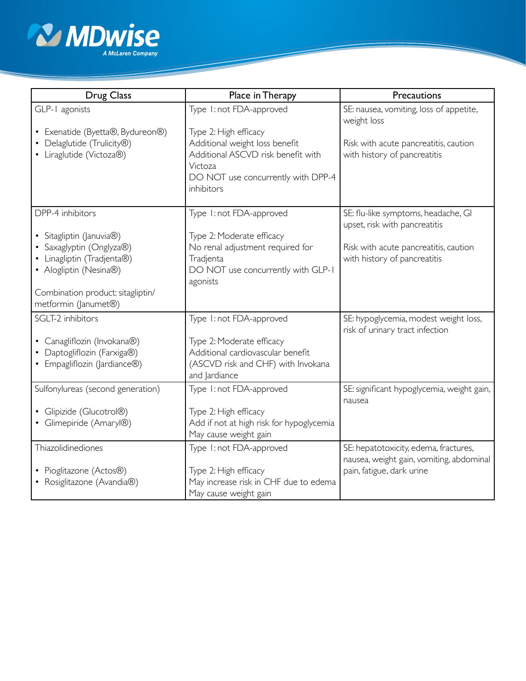

| <b>Drug Class</b>                                                                                                                                                                           | Place in Therapy                                                                                                                                                                         | Precautions                                                                                                                                   |
|---------------------------------------------------------------------------------------------------------------------------------------------------------------------------------------------|------------------------------------------------------------------------------------------------------------------------------------------------------------------------------------------|-----------------------------------------------------------------------------------------------------------------------------------------------|
| GLP-1 agonists<br>• Exenatide (Byetta®, Bydureon®)<br>Delaglutide (Trulicity®)<br>• Liraglutide (Victoza®)                                                                                  | Type 1: not FDA-approved<br>Type 2: High efficacy<br>Additional weight loss benefit<br>Additional ASCVD risk benefit with<br>Victoza<br>DO NOT use concurrently with DPP-4<br>inhibitors | SE: nausea, vomiting, loss of appetite,<br>weight loss<br>Risk with acute pancreatitis, caution<br>with history of pancreatitis               |
| DPP-4 inhibitors<br>• Sitagliptin (Januvia®)<br>• Saxaglyptin (Onglyza®)<br>Linagliptin (Tradjenta®)<br>• Alogliptin (Nesina®)<br>Combination product: sitagliptin/<br>metformin (Janumet®) | Type 1: not FDA-approved<br>Type 2: Moderate efficacy<br>No renal adjustment required for<br>Tradjenta<br>DO NOT use concurrently with GLP-1<br>agonists                                 | SE: flu-like symptoms, headache, GI<br>upset, risk with pancreatitis<br>Risk with acute pancreatitis, caution<br>with history of pancreatitis |
| SGLT-2 inhibitors<br>• Canagliflozin (Invokana®)<br>Daptogliflozin (Farxiga®)<br>• Empagliflozin (Jardiance®)                                                                               | Type 1: not FDA-approved<br>Type 2: Moderate efficacy<br>Additional cardiovascular benefit<br>(ASCVD risk and CHF) with Invokana<br>and Jardiance                                        | SE: hypoglycemia, modest weight loss,<br>risk of urinary tract infection                                                                      |
| Sulfonylureas (second generation)<br>· Glipizide (Glucotrol®)<br>• Glimepiride (Amaryl®)                                                                                                    | Type 1: not FDA-approved<br>Type 2: High efficacy<br>Add if not at high risk for hypoglycemia<br>May cause weight gain                                                                   | SE: significant hypoglycemia, weight gain,<br>nausea                                                                                          |
| Thiazolidinediones<br>• Pioglitazone (Actos®)<br>• Rosiglitazone (Avandia®)                                                                                                                 | Type 1: not FDA-approved<br>Type 2: High efficacy<br>May increase risk in CHF due to edema<br>May cause weight gain                                                                      | SE: hepatotoxicity, edema, fractures,<br>nausea, weight gain, vomiting, abdominal<br>pain, fatigue, dark urine                                |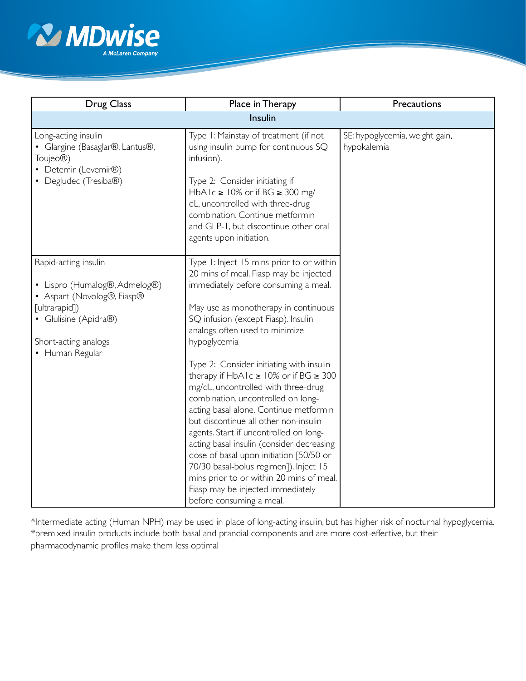

| <b>Drug Class</b>                                                                                                                                                        | Place in Therapy                                                                                                                                                                                                                                                                                                                                                                                                                                                                                                                                                                                                                                                                                                                                                                                                    | Precautions                                   |  |  |
|--------------------------------------------------------------------------------------------------------------------------------------------------------------------------|---------------------------------------------------------------------------------------------------------------------------------------------------------------------------------------------------------------------------------------------------------------------------------------------------------------------------------------------------------------------------------------------------------------------------------------------------------------------------------------------------------------------------------------------------------------------------------------------------------------------------------------------------------------------------------------------------------------------------------------------------------------------------------------------------------------------|-----------------------------------------------|--|--|
| Insulin                                                                                                                                                                  |                                                                                                                                                                                                                                                                                                                                                                                                                                                                                                                                                                                                                                                                                                                                                                                                                     |                                               |  |  |
| Long-acting insulin<br>• Glargine (Basaglar®, Lantus®,<br>Toujeo <sup>®</sup> )<br>• Detemir (Levemir®)<br>• Degludec (Tresiba®)                                         | Type I: Mainstay of treatment (if not<br>using insulin pump for continuous SQ<br>infusion).<br>Type 2: Consider initiating if<br>HbAIc $\geq$ 10% or if BG $\geq$ 300 mg/<br>dL, uncontrolled with three-drug<br>combination. Continue metformin<br>and GLP-1, but discontinue other oral<br>agents upon initiation.                                                                                                                                                                                                                                                                                                                                                                                                                                                                                                | SE: hypoglycemia, weight gain,<br>hypokalemia |  |  |
| Rapid-acting insulin<br>• Lispro (Humalog®, Admelog®)<br>• Aspart (Novolog®, Fiasp®<br>[ultrarapid])<br>• Glulisine (Apidra®)<br>Short-acting analogs<br>• Human Regular | Type 1: Inject 15 mins prior to or within<br>20 mins of meal. Fiasp may be injected<br>immediately before consuming a meal.<br>May use as monotherapy in continuous<br>SQ infusion (except Fiasp). Insulin<br>analogs often used to minimize<br>hypoglycemia<br>Type 2: Consider initiating with insulin<br>therapy if $HbA1c \ge 10\%$ or if BG $\ge 300$<br>mg/dL, uncontrolled with three-drug<br>combination, uncontrolled on long-<br>acting basal alone. Continue metformin<br>but discontinue all other non-insulin<br>agents. Start if uncontrolled on long-<br>acting basal insulin (consider decreasing<br>dose of basal upon initiation [50/50 or<br>70/30 basal-bolus regimen]). Inject 15<br>mins prior to or within 20 mins of meal.<br>Fiasp may be injected immediately<br>before consuming a meal. |                                               |  |  |

\*Intermediate acting (Human NPH) may be used in place of long-acting insulin, but has higher risk of nocturnal hypoglycemia. \*premixed insulin products include both basal and prandial components and are more cost-effective, but their pharmacodynamic profiles make them less optimal